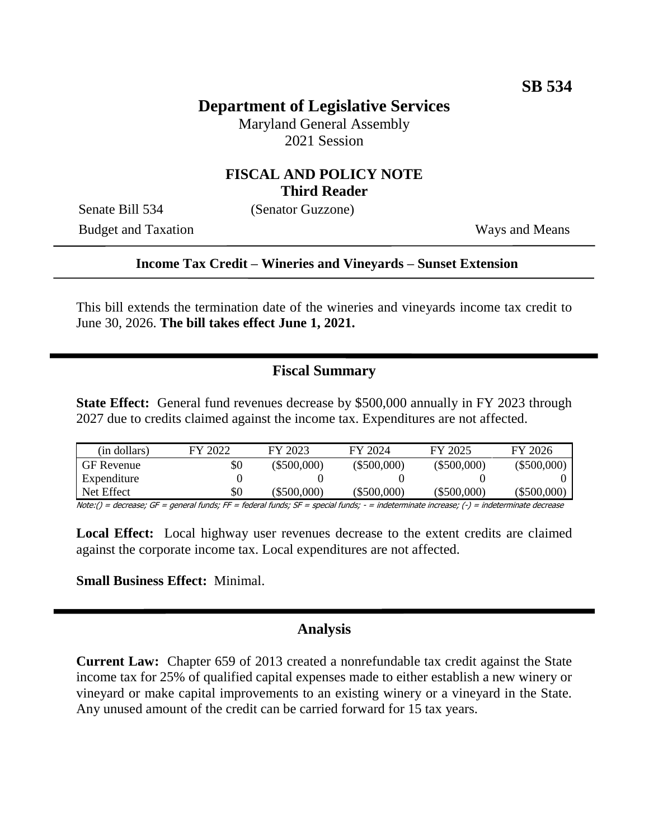# **Department of Legislative Services**

Maryland General Assembly 2021 Session

## **FISCAL AND POLICY NOTE Third Reader**

Senate Bill 534 (Senator Guzzone)

Budget and Taxation Ways and Means

#### **Income Tax Credit – Wineries and Vineyards – Sunset Extension**

This bill extends the termination date of the wineries and vineyards income tax credit to June 30, 2026. **The bill takes effect June 1, 2021.** 

## **Fiscal Summary**

**State Effect:** General fund revenues decrease by \$500,000 annually in FY 2023 through 2027 due to credits claimed against the income tax. Expenditures are not affected.

| (in dollars)            | FY 2022 | FY 2023       | FY 2024       | FY 2025       | FY 2026       |
|-------------------------|---------|---------------|---------------|---------------|---------------|
| <b>GF</b> Revenue       | \$0     | $(\$500,000)$ | $(\$500,000)$ | $(\$500,000)$ | $(\$500,000)$ |
| Expenditure             |         |               |               |               |               |
| Net Effect              | \$0     | (\$500,000)   | (\$500,000)   | $(\$500,000)$ | (\$500,000)   |
| $N_{\text{data}}/l = 1$ |         |               |               |               |               |

Note:() = decrease; GF = general funds; FF = federal funds; SF = special funds; - = indeterminate increase; (-) = indeterminate decrease

**Local Effect:** Local highway user revenues decrease to the extent credits are claimed against the corporate income tax. Local expenditures are not affected.

#### **Small Business Effect:** Minimal.

#### **Analysis**

**Current Law:** Chapter 659 of 2013 created a nonrefundable tax credit against the State income tax for 25% of qualified capital expenses made to either establish a new winery or vineyard or make capital improvements to an existing winery or a vineyard in the State. Any unused amount of the credit can be carried forward for 15 tax years.